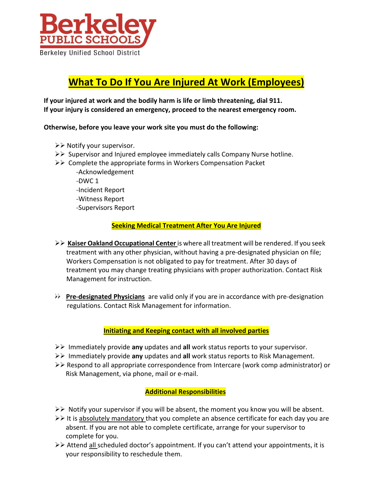

# **What To Do If You Are Injured At Work (Employees)**

**If your injured at work and the bodily harm is life or limb threatening, dial 911. If your injury is considered an emergency, proceed to the nearest emergency room.** 

**Otherwise, before you leave your work site you must do the following:**

- ➢➢ Notify your supervisor.
- ➢➢ Supervisor and Injured employee immediately calls Company Nurse hotline.
- ➢➢ Complete the appropriate forms in Workers Compensation Packet
	- --‐Acknowledgement  $-DWC 1$ --‐Incident Report --‐Witness Report --‐Supervisors Report

## **Seeking Medical Treatment After You Are Injured**

- ➢➢ **Kaiser Oakland Occupational Center** is where all treatment will be rendered. If you seek treatment with any other physician, without having a pre-designated physician on file; Workers Compensation is not obligated to pay for treatment. After 30 days of treatment you may change treating physicians with proper authorization. Contact Risk Management for instruction.
- ➢➢ **Pre-designated Physicians** are valid only if you are in accordance with pre-‐‐designation regulations. Contact Risk Management for information.

### **Initiating and Keeping contact with all involved parties**

- ➢➢ Immediately provide **any** updates and **all** work status reports to your supervisor.
- ➢➢ Immediately provide **any** updates and **all** work status reports to Risk Management.
- ➢➢ Respond to all appropriate correspondence from Intercare (work comp administrator) or Risk Management, via phone, mail or e-mail.

### **Additional Responsibilities**

- $>$  Notify your supervisor if you will be absent, the moment you know you will be absent.
- ➢➢ It is absolutely mandatory that you complete an absence certificate for each day you are absent. If you are not able to complete certificate, arrange for your supervisor to complete for you.
- ➢➢ Attend all scheduled doctor's appointment. If you can't attend your appointments, it is your responsibility to reschedule them.